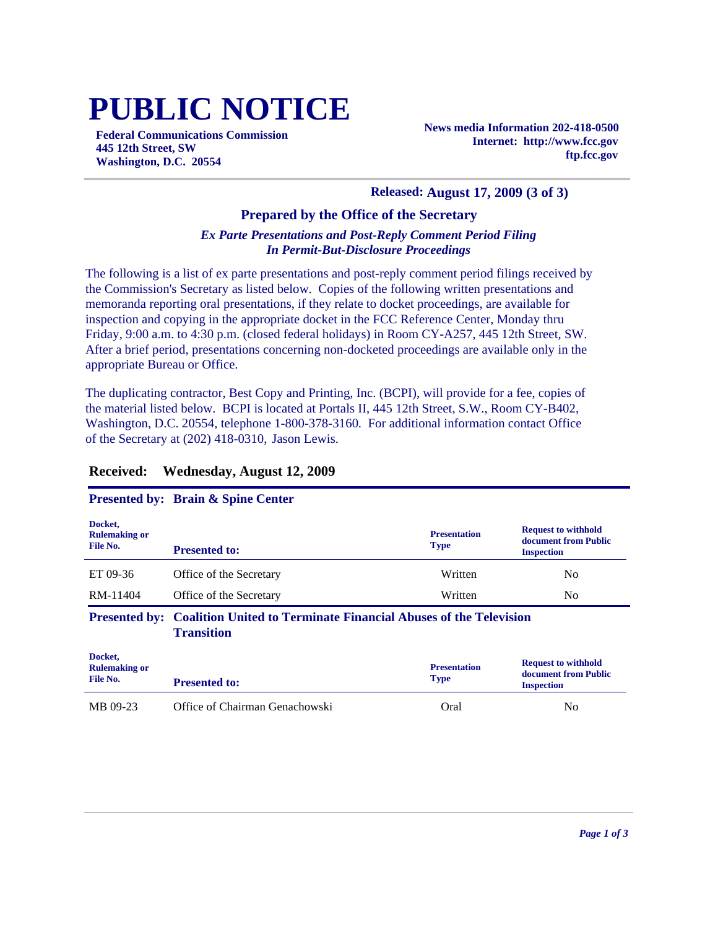# **PUBLIC NOTICE**

**Federal Communications Commission 445 12th Street, SW Washington, D.C. 20554**

**News media Information 202-418-0500 Internet: http://www.fcc.gov ftp.fcc.gov**

#### **Released: August 17, 2009 (3 of 3)**

# **Prepared by the Office of the Secretary**

# *Ex Parte Presentations and Post-Reply Comment Period Filing In Permit-But-Disclosure Proceedings*

The following is a list of ex parte presentations and post-reply comment period filings received by the Commission's Secretary as listed below. Copies of the following written presentations and memoranda reporting oral presentations, if they relate to docket proceedings, are available for inspection and copying in the appropriate docket in the FCC Reference Center, Monday thru Friday, 9:00 a.m. to 4:30 p.m. (closed federal holidays) in Room CY-A257, 445 12th Street, SW. After a brief period, presentations concerning non-docketed proceedings are available only in the appropriate Bureau or Office.

The duplicating contractor, Best Copy and Printing, Inc. (BCPI), will provide for a fee, copies of the material listed below. BCPI is located at Portals II, 445 12th Street, S.W., Room CY-B402, Washington, D.C. 20554, telephone 1-800-378-3160. For additional information contact Office of the Secretary at (202) 418-0310, Jason Lewis.

#### **Received: Wednesday, August 12, 2009**

## **Presented by: Brain & Spine Center**

| Docket,<br><b>Rulemaking or</b><br>File No. | <b>Presented to:</b>                                                                                       | <b>Presentation</b><br><b>Type</b> | <b>Request to withhold</b><br>document from Public<br><b>Inspection</b> |
|---------------------------------------------|------------------------------------------------------------------------------------------------------------|------------------------------------|-------------------------------------------------------------------------|
| ET 09-36                                    | Office of the Secretary                                                                                    | Written                            | N <sub>0</sub>                                                          |
| RM-11404                                    | Office of the Secretary                                                                                    | Written                            | No.                                                                     |
|                                             | <b>Presented by: Coalition United to Terminate Financial Abuses of the Television</b><br><b>Transition</b> |                                    |                                                                         |
| Docket,<br><b>Rulemaking or</b><br>File No. | <b>Presented to:</b>                                                                                       | <b>Presentation</b><br><b>Type</b> | <b>Request to withhold</b><br>document from Public<br><b>Inspection</b> |
| MB 09-23                                    | Office of Chairman Genachowski                                                                             | Oral                               | No                                                                      |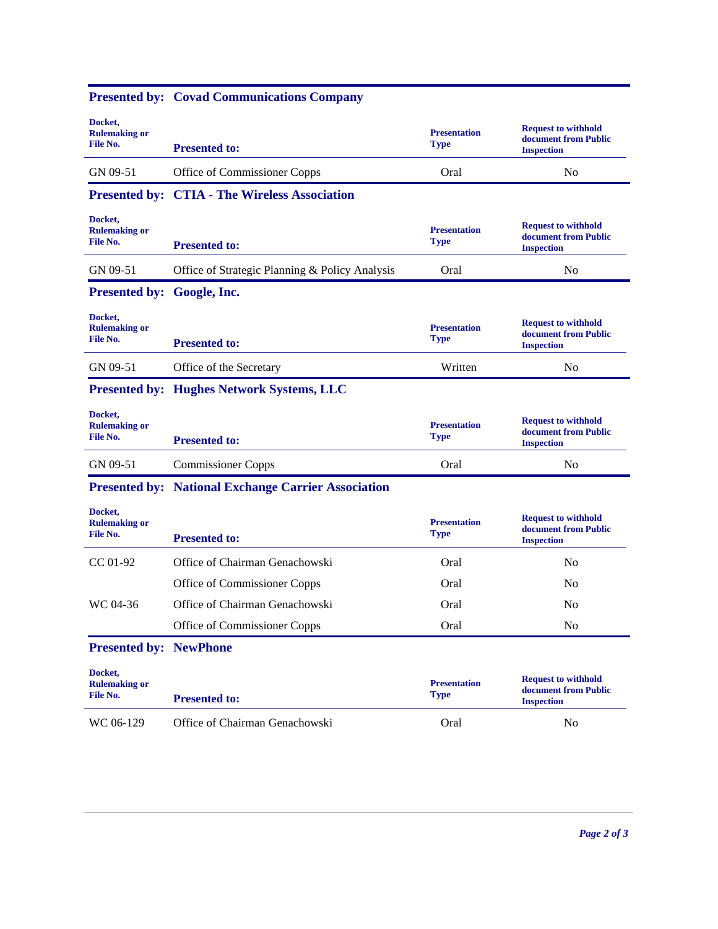|                                             | Presented by: Covad Communications Company                 |                                    |                                                                         |
|---------------------------------------------|------------------------------------------------------------|------------------------------------|-------------------------------------------------------------------------|
| Docket,<br><b>Rulemaking or</b><br>File No. | <b>Presented to:</b>                                       | <b>Presentation</b><br><b>Type</b> | <b>Request to withhold</b><br>document from Public<br><b>Inspection</b> |
| GN 09-51                                    | Office of Commissioner Copps                               | Oral                               | N <sub>0</sub>                                                          |
|                                             | <b>Presented by: CTIA - The Wireless Association</b>       |                                    |                                                                         |
| Docket.<br><b>Rulemaking or</b><br>File No. | <b>Presented to:</b>                                       | <b>Presentation</b><br><b>Type</b> | <b>Request to withhold</b><br>document from Public<br><b>Inspection</b> |
| GN 09-51                                    | Office of Strategic Planning & Policy Analysis             | Oral                               | N <sub>0</sub>                                                          |
| Presented by: Google, Inc.                  |                                                            |                                    |                                                                         |
| Docket,<br><b>Rulemaking or</b><br>File No. | <b>Presented to:</b>                                       | <b>Presentation</b><br><b>Type</b> | <b>Request to withhold</b><br>document from Public<br><b>Inspection</b> |
| GN 09-51                                    | Office of the Secretary                                    | Written                            | No                                                                      |
|                                             | <b>Presented by: Hughes Network Systems, LLC</b>           |                                    |                                                                         |
| Docket,<br><b>Rulemaking or</b><br>File No. | <b>Presented to:</b>                                       | <b>Presentation</b><br><b>Type</b> | <b>Request to withhold</b><br>document from Public<br><b>Inspection</b> |
| GN 09-51                                    | <b>Commissioner Copps</b>                                  | Oral                               | N <sub>0</sub>                                                          |
|                                             | <b>Presented by: National Exchange Carrier Association</b> |                                    |                                                                         |
| Docket,<br><b>Rulemaking or</b><br>File No. | <b>Presented to:</b>                                       | <b>Presentation</b><br><b>Type</b> | <b>Request to withhold</b><br>document from Public<br><b>Inspection</b> |
| $CC 01-92$                                  | Office of Chairman Genachowski                             | Oral                               | N <sub>0</sub>                                                          |
|                                             | Office of Commissioner Copps                               | Oral                               | No                                                                      |
| WC 04-36                                    | Office of Chairman Genachowski                             | Oral                               | N <sub>0</sub>                                                          |
|                                             | Office of Commissioner Copps                               | Oral                               | N <sub>0</sub>                                                          |
| <b>Presented by: NewPhone</b>               |                                                            |                                    |                                                                         |
| Docket,<br><b>Rulemaking or</b><br>File No. | <b>Presented to:</b>                                       | <b>Presentation</b><br><b>Type</b> | <b>Request to withhold</b><br>document from Public<br><b>Inspection</b> |
| WC 06-129                                   | Office of Chairman Genachowski                             | Oral                               | N <sub>o</sub>                                                          |
|                                             |                                                            |                                    |                                                                         |

#### **Presented by: Covad Communications Company**